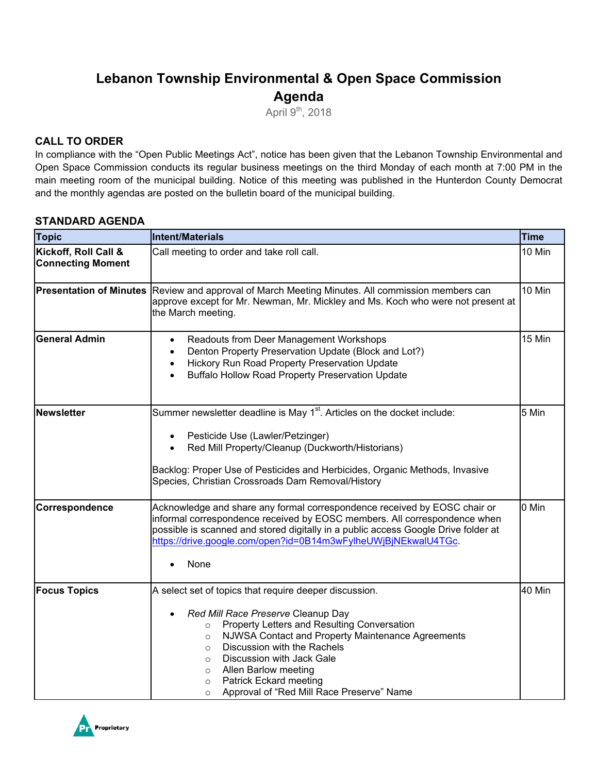# **Lebanon Township Environmental & Open Space Commission Agenda**

April  $9<sup>th</sup>$ , 2018

### **CALL TO ORDER**

In compliance with the "Open Public Meetings Act", notice has been given that the Lebanon Township Environmental and Open Space Commission conducts its regular business meetings on the third Monday of each month at 7:00 PM in the main meeting room of the municipal building. Notice of this meeting was published in the Hunterdon County Democrat and the monthly agendas are posted on the bulletin board of the municipal building.

#### **STANDARD AGENDA**

| <b>Topic</b>                                     | Intent/Materials                                                                                                                                                                                                                                                                                                                                                                                                                                | <b>Time</b> |
|--------------------------------------------------|-------------------------------------------------------------------------------------------------------------------------------------------------------------------------------------------------------------------------------------------------------------------------------------------------------------------------------------------------------------------------------------------------------------------------------------------------|-------------|
| Kickoff, Roll Call &<br><b>Connecting Moment</b> | Call meeting to order and take roll call.                                                                                                                                                                                                                                                                                                                                                                                                       | 10 Min      |
|                                                  | 10 Min<br><b>Presentation of Minutes</b> Review and approval of March Meeting Minutes. All commission members can<br>approve except for Mr. Newman, Mr. Mickley and Ms. Koch who were not present at<br>the March meeting.                                                                                                                                                                                                                      |             |
| <b>General Admin</b>                             | Readouts from Deer Management Workshops<br>$\bullet$<br>Denton Property Preservation Update (Block and Lot?)<br>$\bullet$<br>Hickory Run Road Property Preservation Update<br>$\bullet$<br><b>Buffalo Hollow Road Property Preservation Update</b>                                                                                                                                                                                              | 15 Min      |
| Newsletter                                       | Summer newsletter deadline is May 1 <sup>st</sup> . Articles on the docket include:<br>Pesticide Use (Lawler/Petzinger)<br>Red Mill Property/Cleanup (Duckworth/Historians)<br>Backlog: Proper Use of Pesticides and Herbicides, Organic Methods, Invasive<br>Species, Christian Crossroads Dam Removal/History                                                                                                                                 | 5 Min       |
| Correspondence                                   | Acknowledge and share any formal correspondence received by EOSC chair or<br>informal correspondence received by EOSC members. All correspondence when<br>possible is scanned and stored digitally in a public access Google Drive folder at<br>https://drive.google.com/open?id=0B14m3wFylheUWjBjNEkwalU4TGc.<br>None                                                                                                                          | 0 Min       |
| <b>Focus Topics</b>                              | A select set of topics that require deeper discussion.<br>Red Mill Race Preserve Cleanup Day<br>Property Letters and Resulting Conversation<br>$\circ$<br>NJWSA Contact and Property Maintenance Agreements<br>$\circ$<br>Discussion with the Rachels<br>$\circ$<br>Discussion with Jack Gale<br>$\circ$<br>Allen Barlow meeting<br>$\circ$<br><b>Patrick Eckard meeting</b><br>$\circ$<br>Approval of "Red Mill Race Preserve" Name<br>$\circ$ | 40 Min      |

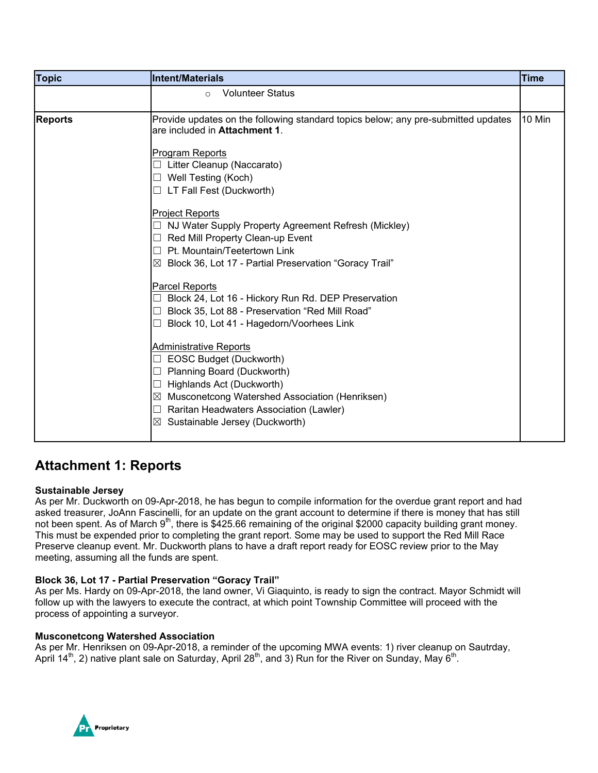| <b>Topic</b>   | Intent/Materials                                                                                                                                                                                                                                                                                                                                                                                                                                                                                                 | <b>Time</b> |
|----------------|------------------------------------------------------------------------------------------------------------------------------------------------------------------------------------------------------------------------------------------------------------------------------------------------------------------------------------------------------------------------------------------------------------------------------------------------------------------------------------------------------------------|-------------|
|                | <b>Volunteer Status</b><br>$\circ$                                                                                                                                                                                                                                                                                                                                                                                                                                                                               |             |
| <b>Reports</b> | Provide updates on the following standard topics below; any pre-submitted updates<br>are included in Attachment 1.<br><b>Program Reports</b><br>Litter Cleanup (Naccarato)<br>Well Testing (Koch)<br>□<br>$\Box$ LT Fall Fest (Duckworth)<br><b>Project Reports</b><br>NJ Water Supply Property Agreement Refresh (Mickley)<br>ш<br>Red Mill Property Clean-up Event<br>⊔<br>$\Box$ Pt. Mountain/Teetertown Link<br>$\boxtimes$ Block 36, Lot 17 - Partial Preservation "Goracy Trail"                           | 10 Min      |
|                | Parcel Reports<br>Block 24, Lot 16 - Hickory Run Rd. DEP Preservation<br>Block 35, Lot 88 - Preservation "Red Mill Road"<br>$\Box$<br>Block 10, Lot 41 - Hagedorn/Voorhees Link<br>$\Box$<br><b>Administrative Reports</b><br>EOSC Budget (Duckworth)<br>$\overline{\phantom{a}}$<br>Planning Board (Duckworth)<br>ш<br>Highlands Act (Duckworth)<br>$\Box$<br>$\boxtimes$ Musconetcong Watershed Association (Henriksen)<br>Raritan Headwaters Association (Lawler)<br>□<br>Sustainable Jersey (Duckworth)<br>⊠ |             |

## **Attachment 1: Reports**

#### **Sustainable Jersey**

As per Mr. Duckworth on 09-Apr-2018, he has begun to compile information for the overdue grant report and had asked treasurer, JoAnn Fascinelli, for an update on the grant account to determine if there is money that has still not been spent. As of March 9<sup>th</sup>, there is \$425.66 remaining of the original \$2000 capacity building grant money. This must be expended prior to completing the grant report. Some may be used to support the Red Mill Race Preserve cleanup event. Mr. Duckworth plans to have a draft report ready for EOSC review prior to the May meeting, assuming all the funds are spent.

#### **Block 36, Lot 17 - Partial Preservation "Goracy Trail"**

As per Ms. Hardy on 09-Apr-2018, the land owner, Vi Giaquinto, is ready to sign the contract. Mayor Schmidt will follow up with the lawyers to execute the contract, at which point Township Committee will proceed with the process of appointing a surveyor.

#### **Musconetcong Watershed Association**

As per Mr. Henriksen on 09-Apr-2018, a reminder of the upcoming MWA events: 1) river cleanup on Sautrday, April 14<sup>th</sup>, 2) native plant sale on Saturday, April 28<sup>th</sup>, and 3) Run for the River on Sunday, May 6<sup>th</sup>.

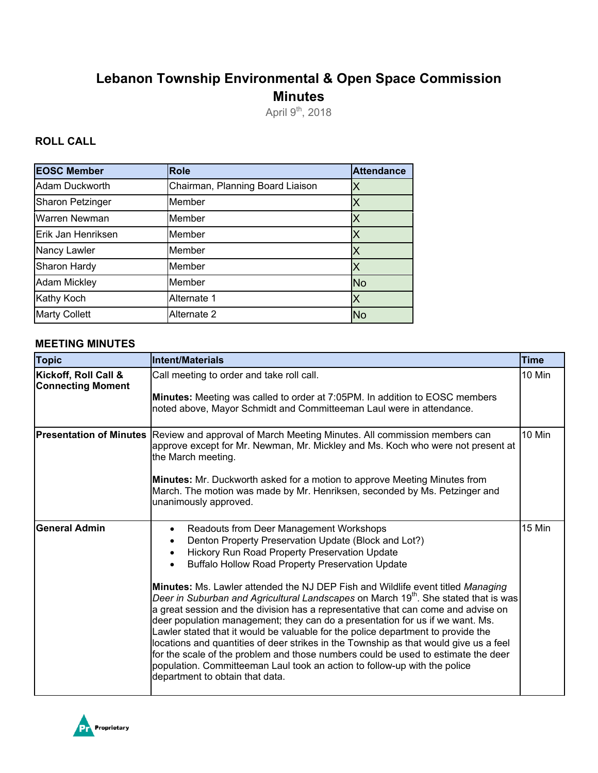# **Lebanon Township Environmental & Open Space Commission Minutes**

April 9<sup>th</sup>, 2018

### **ROLL CALL**

| <b>EOSC Member</b>      | <b>Role</b>                      | <b>Attendance</b> |
|-------------------------|----------------------------------|-------------------|
| Adam Duckworth          | Chairman, Planning Board Liaison | Х                 |
| <b>Sharon Petzinger</b> | Member                           | Χ                 |
| Warren Newman           | Member                           |                   |
| Erik Jan Henriksen      | Member                           | Χ                 |
| Nancy Lawler            | Member                           | Χ                 |
| Sharon Hardy            | Member                           |                   |
| <b>Adam Mickley</b>     | Member                           | <b>No</b>         |
| Kathy Koch              | Alternate 1                      | Χ                 |
| <b>Marty Collett</b>    | Alternate 2                      | <b>No</b>         |

#### **MEETING MINUTES**

| <b>Topic</b>                                     | Intent/Materials                                                                                                                                                                                                                                                                                                                                                                                                                                                                                                                                                                                                                                                                                                                                                                                                                                                                                                                                                                    | <b>Time</b> |
|--------------------------------------------------|-------------------------------------------------------------------------------------------------------------------------------------------------------------------------------------------------------------------------------------------------------------------------------------------------------------------------------------------------------------------------------------------------------------------------------------------------------------------------------------------------------------------------------------------------------------------------------------------------------------------------------------------------------------------------------------------------------------------------------------------------------------------------------------------------------------------------------------------------------------------------------------------------------------------------------------------------------------------------------------|-------------|
| Kickoff, Roll Call &<br><b>Connecting Moment</b> | Call meeting to order and take roll call.<br><b>Minutes:</b> Meeting was called to order at 7:05PM. In addition to EOSC members<br>noted above, Mayor Schmidt and Committeeman Laul were in attendance.                                                                                                                                                                                                                                                                                                                                                                                                                                                                                                                                                                                                                                                                                                                                                                             | 10 Min      |
| <b>Presentation of Minutes</b>                   | Review and approval of March Meeting Minutes. All commission members can<br>approve except for Mr. Newman, Mr. Mickley and Ms. Koch who were not present at<br>the March meeting.<br>Minutes: Mr. Duckworth asked for a motion to approve Meeting Minutes from<br>March. The motion was made by Mr. Henriksen, seconded by Ms. Petzinger and<br>unanimously approved.                                                                                                                                                                                                                                                                                                                                                                                                                                                                                                                                                                                                               | 10 Min      |
| <b>General Admin</b>                             | Readouts from Deer Management Workshops<br>$\bullet$<br>Denton Property Preservation Update (Block and Lot?)<br>$\bullet$<br>Hickory Run Road Property Preservation Update<br><b>Buffalo Hollow Road Property Preservation Update</b><br>Minutes: Ms. Lawler attended the NJ DEP Fish and Wildlife event titled Managing<br>Deer in Suburban and Agricultural Landscapes on March 19 <sup>th</sup> . She stated that is was<br>a great session and the division has a representative that can come and advise on<br>deer population management; they can do a presentation for us if we want. Ms.<br>Lawler stated that it would be valuable for the police department to provide the<br>locations and quantities of deer strikes in the Township as that would give us a feel<br>for the scale of the problem and those numbers could be used to estimate the deer<br>population. Committeeman Laul took an action to follow-up with the police<br>department to obtain that data. | 15 Min      |

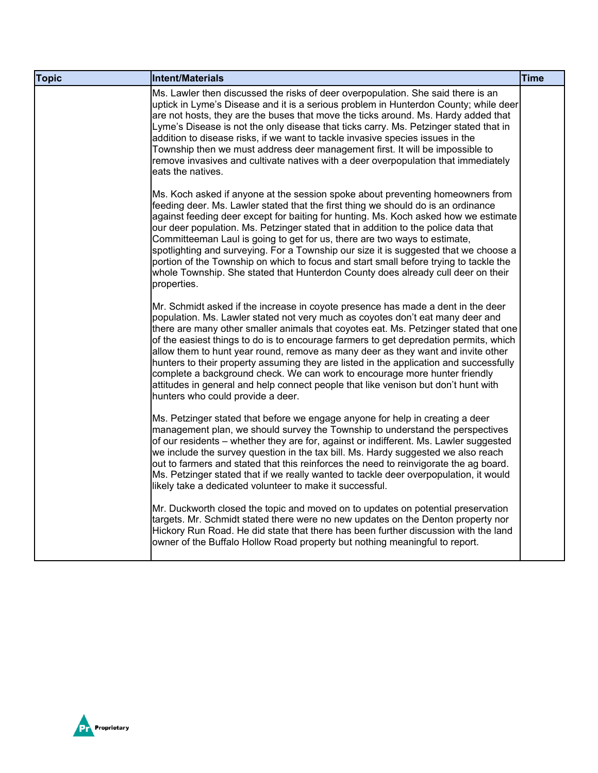| <b>Topic</b> | Intent/Materials                                                                                                                                                                                                                                                                                                                                                                                                                                                                                                                                                                                                                                                                                                                           | <b>Time</b> |
|--------------|--------------------------------------------------------------------------------------------------------------------------------------------------------------------------------------------------------------------------------------------------------------------------------------------------------------------------------------------------------------------------------------------------------------------------------------------------------------------------------------------------------------------------------------------------------------------------------------------------------------------------------------------------------------------------------------------------------------------------------------------|-------------|
|              | Ms. Lawler then discussed the risks of deer overpopulation. She said there is an<br>uptick in Lyme's Disease and it is a serious problem in Hunterdon County; while deer<br>are not hosts, they are the buses that move the ticks around. Ms. Hardy added that<br>Lyme's Disease is not the only disease that ticks carry. Ms. Petzinger stated that in<br>addition to disease risks, if we want to tackle invasive species issues in the<br>Township then we must address deer management first. It will be impossible to<br>remove invasives and cultivate natives with a deer overpopulation that immediately<br>eats the natives.                                                                                                      |             |
|              | Ms. Koch asked if anyone at the session spoke about preventing homeowners from<br>feeding deer. Ms. Lawler stated that the first thing we should do is an ordinance<br>against feeding deer except for baiting for hunting. Ms. Koch asked how we estimate<br>our deer population. Ms. Petzinger stated that in addition to the police data that<br>Committeeman Laul is going to get for us, there are two ways to estimate,<br>spotlighting and surveying. For a Township our size it is suggested that we choose a<br>portion of the Township on which to focus and start small before trying to tackle the<br>whole Township. She stated that Hunterdon County does already cull deer on their<br>properties.                          |             |
|              | Mr. Schmidt asked if the increase in coyote presence has made a dent in the deer<br>population. Ms. Lawler stated not very much as coyotes don't eat many deer and<br>there are many other smaller animals that coyotes eat. Ms. Petzinger stated that one<br>of the easiest things to do is to encourage farmers to get depredation permits, which<br>allow them to hunt year round, remove as many deer as they want and invite other<br>hunters to their property assuming they are listed in the application and successfully<br>complete a background check. We can work to encourage more hunter friendly<br>attitudes in general and help connect people that like venison but don't hunt with<br>hunters who could provide a deer. |             |
|              | Ms. Petzinger stated that before we engage anyone for help in creating a deer<br>management plan, we should survey the Township to understand the perspectives<br>of our residents – whether they are for, against or indifferent. Ms. Lawler suggested<br>we include the survey question in the tax bill. Ms. Hardy suggested we also reach<br>out to farmers and stated that this reinforces the need to reinvigorate the ag board.<br>Ms. Petzinger stated that if we really wanted to tackle deer overpopulation, it would<br>likely take a dedicated volunteer to make it successful.                                                                                                                                                 |             |
|              | Mr. Duckworth closed the topic and moved on to updates on potential preservation<br>targets. Mr. Schmidt stated there were no new updates on the Denton property nor<br>Hickory Run Road. He did state that there has been further discussion with the land<br>owner of the Buffalo Hollow Road property but nothing meaningful to report.                                                                                                                                                                                                                                                                                                                                                                                                 |             |

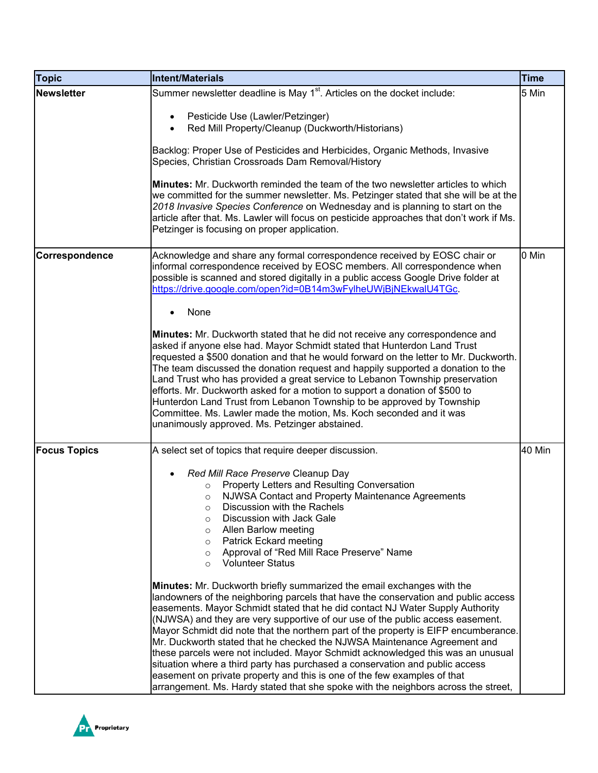| <b>Topic</b>        | <b>Intent/Materials</b>                                                                                                                                                                                                                                                                                                                                                                                                                                                                                                                                                                                                                                                                                                                                                                                                                 | Time   |
|---------------------|-----------------------------------------------------------------------------------------------------------------------------------------------------------------------------------------------------------------------------------------------------------------------------------------------------------------------------------------------------------------------------------------------------------------------------------------------------------------------------------------------------------------------------------------------------------------------------------------------------------------------------------------------------------------------------------------------------------------------------------------------------------------------------------------------------------------------------------------|--------|
| <b>Newsletter</b>   | Summer newsletter deadline is May 1 <sup>st</sup> . Articles on the docket include:                                                                                                                                                                                                                                                                                                                                                                                                                                                                                                                                                                                                                                                                                                                                                     | 5 Min  |
|                     | Pesticide Use (Lawler/Petzinger)<br>Red Mill Property/Cleanup (Duckworth/Historians)                                                                                                                                                                                                                                                                                                                                                                                                                                                                                                                                                                                                                                                                                                                                                    |        |
|                     | Backlog: Proper Use of Pesticides and Herbicides, Organic Methods, Invasive<br>Species, Christian Crossroads Dam Removal/History                                                                                                                                                                                                                                                                                                                                                                                                                                                                                                                                                                                                                                                                                                        |        |
|                     | <b>Minutes:</b> Mr. Duckworth reminded the team of the two newsletter articles to which<br>we committed for the summer newsletter. Ms. Petzinger stated that she will be at the<br>2018 Invasive Species Conference on Wednesday and is planning to start on the<br>article after that. Ms. Lawler will focus on pesticide approaches that don't work if Ms.<br>Petzinger is focusing on proper application.                                                                                                                                                                                                                                                                                                                                                                                                                            |        |
| Correspondence      | Acknowledge and share any formal correspondence received by EOSC chair or<br>informal correspondence received by EOSC members. All correspondence when<br>possible is scanned and stored digitally in a public access Google Drive folder at<br>https://drive.google.com/open?id=0B14m3wFylheUWjBjNEkwalU4TGc.                                                                                                                                                                                                                                                                                                                                                                                                                                                                                                                          | 0 Min  |
|                     | None                                                                                                                                                                                                                                                                                                                                                                                                                                                                                                                                                                                                                                                                                                                                                                                                                                    |        |
|                     | Minutes: Mr. Duckworth stated that he did not receive any correspondence and<br>asked if anyone else had. Mayor Schmidt stated that Hunterdon Land Trust<br>requested a \$500 donation and that he would forward on the letter to Mr. Duckworth.<br>The team discussed the donation request and happily supported a donation to the<br>Land Trust who has provided a great service to Lebanon Township preservation<br>efforts. Mr. Duckworth asked for a motion to support a donation of \$500 to<br>Hunterdon Land Trust from Lebanon Township to be approved by Township<br>Committee. Ms. Lawler made the motion, Ms. Koch seconded and it was<br>unanimously approved. Ms. Petzinger abstained.                                                                                                                                    |        |
| <b>Focus Topics</b> | A select set of topics that require deeper discussion.                                                                                                                                                                                                                                                                                                                                                                                                                                                                                                                                                                                                                                                                                                                                                                                  | 40 Min |
|                     | Red Mill Race Preserve Cleanup Day<br>Property Letters and Resulting Conversation<br>$\circ$<br>NJWSA Contact and Property Maintenance Agreements<br>$\circ$<br>Discussion with the Rachels<br>Discussion with Jack Gale<br>$\circ$<br>Allen Barlow meeting<br>$\circ$<br><b>Patrick Eckard meeting</b><br>$\circ$<br>Approval of "Red Mill Race Preserve" Name<br>$\circ$<br><b>Volunteer Status</b><br>$\circ$                                                                                                                                                                                                                                                                                                                                                                                                                        |        |
|                     | Minutes: Mr. Duckworth briefly summarized the email exchanges with the<br>landowners of the neighboring parcels that have the conservation and public access<br>easements. Mayor Schmidt stated that he did contact NJ Water Supply Authority<br>(NJWSA) and they are very supportive of our use of the public access easement.<br>Mayor Schmidt did note that the northern part of the property is EIFP encumberance.<br>Mr. Duckworth stated that he checked the NJWSA Maintenance Agreement and<br>these parcels were not included. Mayor Schmidt acknowledged this was an unusual<br>situation where a third party has purchased a conservation and public access<br>easement on private property and this is one of the few examples of that<br>arrangement. Ms. Hardy stated that she spoke with the neighbors across the street, |        |

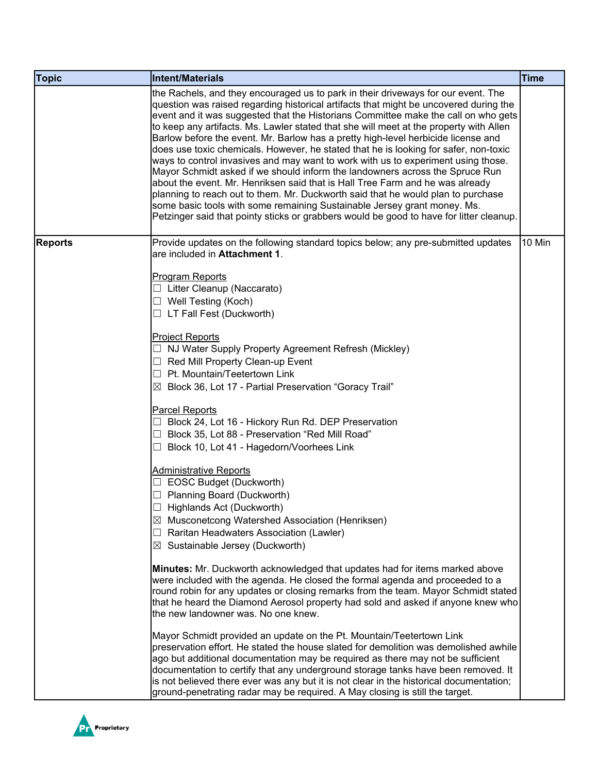| <b>Topic</b>   | <b>Intent/Materials</b>                                                                                                                                                                                                                                                                                                                                                                                                                                                                                                                                                                                                                                                                                                                                                                                                                                                                                                                                                                                                                                  | <b>Time</b> |
|----------------|----------------------------------------------------------------------------------------------------------------------------------------------------------------------------------------------------------------------------------------------------------------------------------------------------------------------------------------------------------------------------------------------------------------------------------------------------------------------------------------------------------------------------------------------------------------------------------------------------------------------------------------------------------------------------------------------------------------------------------------------------------------------------------------------------------------------------------------------------------------------------------------------------------------------------------------------------------------------------------------------------------------------------------------------------------|-------------|
|                | the Rachels, and they encouraged us to park in their driveways for our event. The<br>question was raised regarding historical artifacts that might be uncovered during the<br>event and it was suggested that the Historians Committee make the call on who gets<br>to keep any artifacts. Ms. Lawler stated that she will meet at the property with Allen<br>Barlow before the event. Mr. Barlow has a pretty high-level herbicide license and<br>does use toxic chemicals. However, he stated that he is looking for safer, non-toxic<br>ways to control invasives and may want to work with us to experiment using those.<br>Mayor Schmidt asked if we should inform the landowners across the Spruce Run<br>about the event. Mr. Henriksen said that is Hall Tree Farm and he was already<br>planning to reach out to them. Mr. Duckworth said that he would plan to purchase<br>some basic tools with some remaining Sustainable Jersey grant money. Ms.<br>Petzinger said that pointy sticks or grabbers would be good to have for litter cleanup. |             |
| <b>Reports</b> | Provide updates on the following standard topics below; any pre-submitted updates<br>are included in Attachment 1.<br><b>Program Reports</b><br>Litter Cleanup (Naccarato)                                                                                                                                                                                                                                                                                                                                                                                                                                                                                                                                                                                                                                                                                                                                                                                                                                                                               | 10 Min      |
|                | Well Testing (Koch)<br>LT Fall Fest (Duckworth)<br>⊔                                                                                                                                                                                                                                                                                                                                                                                                                                                                                                                                                                                                                                                                                                                                                                                                                                                                                                                                                                                                     |             |
|                | <b>Project Reports</b><br>NJ Water Supply Property Agreement Refresh (Mickley)<br>Red Mill Property Clean-up Event<br>ப<br>Pt. Mountain/Teetertown Link<br>$\Box$<br>$\boxtimes$ Block 36, Lot 17 - Partial Preservation "Goracy Trail"                                                                                                                                                                                                                                                                                                                                                                                                                                                                                                                                                                                                                                                                                                                                                                                                                  |             |
|                | <b>Parcel Reports</b><br>Block 24, Lot 16 - Hickory Run Rd. DEP Preservation<br>Block 35, Lot 88 - Preservation "Red Mill Road"<br>Block 10, Lot 41 - Hagedorn/Voorhees Link                                                                                                                                                                                                                                                                                                                                                                                                                                                                                                                                                                                                                                                                                                                                                                                                                                                                             |             |
|                | <b>Administrative Reports</b><br>EOSC Budget (Duckworth)<br>Planning Board (Duckworth)<br>$\Box$ Highlands Act (Duckworth)<br>⊠ Musconetcong Watershed Association (Henriksen)<br>Raritan Headwaters Association (Lawler)<br>$\Box$<br>⊠ Sustainable Jersey (Duckworth)                                                                                                                                                                                                                                                                                                                                                                                                                                                                                                                                                                                                                                                                                                                                                                                  |             |
|                | Minutes: Mr. Duckworth acknowledged that updates had for items marked above<br>were included with the agenda. He closed the formal agenda and proceeded to a<br>round robin for any updates or closing remarks from the team. Mayor Schmidt stated<br>that he heard the Diamond Aerosol property had sold and asked if anyone knew who<br>the new landowner was. No one knew.                                                                                                                                                                                                                                                                                                                                                                                                                                                                                                                                                                                                                                                                            |             |
|                | Mayor Schmidt provided an update on the Pt. Mountain/Teetertown Link<br>preservation effort. He stated the house slated for demolition was demolished awhile<br>ago but additional documentation may be required as there may not be sufficient<br>documentation to certify that any underground storage tanks have been removed. It<br>is not believed there ever was any but it is not clear in the historical documentation;<br>ground-penetrating radar may be required. A May closing is still the target.                                                                                                                                                                                                                                                                                                                                                                                                                                                                                                                                          |             |